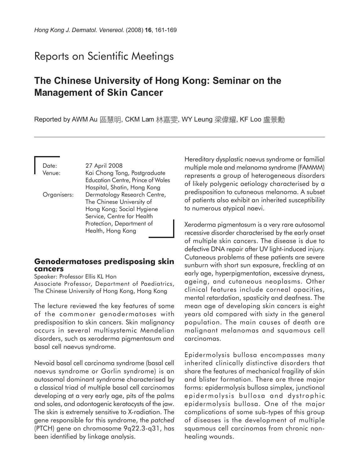# Reports on Scientific Meetings

## **The Chinese University of Hong Kong: Seminar on the Management of Skin Cancer**

Reported by AWM Au 區慧明, CKM Lam 林嘉雯, WY Leung 梁偉耀, KF Loo 盧景勳

Date: 27 April 2008 Venue: Kai Chong Tong, Postgraduate Education Centre, Prince of Wales Hospital, Shatin, Hong Kong Organisers: Dermatology Research Centre, The Chinese University of Hong Kong; Social Hygiene Service, Centre for Health Protection, Department of Health, Hong Kong

#### **Genodermatoses predisposing skin cancers**

Speaker: Professor Ellis KL Hon

Associate Professor, Department of Paediatrics, The Chinese University of Hong Kong, Hong Kong

The lecture reviewed the key features of some of the commoner genodermatoses with predisposition to skin cancers. Skin malignancy occurs in several multisystemic Mendelian disorders, such as xeroderma pigmentosum and basal cell naevus syndrome.

Nevoid basal cell carcinoma syndrome (basal cell naevus syndrome or Gorlin syndrome) is an autosomal dominant syndrome characterised by a classical triad of multiple basal cell carcinomas developing at a very early age, pits of the palms and soles, and odontogenic keratocysts of the jaw. The skin is extremely sensitive to X-radiation. The gene responsible for this syndrome, the *patched* (PTCH) gene on chromosome 9q22.3-q31, has been identified by linkage analysis.

Hereditary dysplastic naevus syndrome or familial multiple mole and melanoma syndrome (FAMMM) represents a group of heterogeneous disorders of likely polygenic aetiology characterised by a predisposition to cutaneous melanoma. A subset of patients also exhibit an inherited susceptibility to numerous atypical naevi.

Xeroderma pigmentosum is a very rare autosomal recessive disorder characterised by the early onset of multiple skin cancers. The disease is due to defective DNA repair after UV light-induced injury. Cutaneous problems of these patients are severe sunburn with short sun exposure, freckling at an early age, hyperpigmentation, excessive dryness, ageing, and cutaneous neoplasms. Other clinical features include corneal opacities, mental retardation, spasticity and deafness. The mean age of developing skin cancers is eight years old compared with sixty in the general population. The main causes of death are malignant melanomas and squamous cell carcinomas.

Epidermolysis bullosa encompasses many inherited clinically distinctive disorders that share the features of mechanical fragility of skin and blister formation. There are three major forms: epidermolysis bullosa simplex, junctional epidermolysis bullosa and dystrophic epidermolysis bullosa. One of the major complications of some sub-types of this group of diseases is the development of multiple squamous cell carcinomas from chronic nonhealing wounds.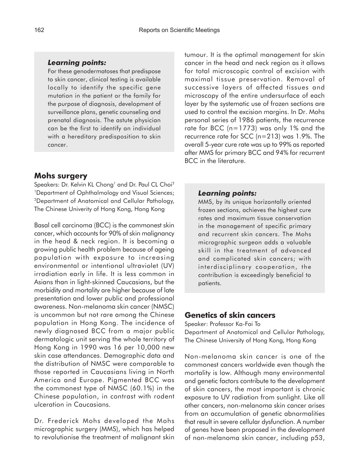#### *Learning points:*

For these genodermatoses that predispose to skin cancer, clinical testing is available locally to identify the specific gene mutation in the patient or the family for the purpose of diagnosis, development of surveillance plans, genetic counseling and prenatal diagnosis. The astute physician can be the first to identify an individual with a hereditary predisposition to skin cancer.

### **Mohs surgery**

Speakers: Dr. Kelvin KL Chong<sup>1</sup> and Dr. Paul CL Choi<sup>2</sup> <sup>1</sup>Department of Ophthalmology and Visual Sciences; 2Department of Anatomical and Cellular Pathology, The Chinese Univerity of Hong Kong, Hong Kong

Basal cell carcinoma (BCC) is the commonest skin cancer, which accounts for 90% of skin malignancy in the head & neck region. It is becoming a growing public health problem because of ageing population with exposure to increasing environmental or intentional ultraviolet (UV) irradiation early in life. It is less common in Asians than in light-skinned Caucasians, but the morbidity and mortality are higher because of late presentation and lower public and professional awareness. Non-melanoma skin cancer (NMSC) is uncommon but not rare among the Chinese population in Hong Kong. The incidence of newly diagnosed BCC from a major public dermatologic unit serving the whole territory of Hong Kong in 1990 was 16 per 10,000 new skin case attendances. Demographic data and the distribution of NMSC were comparable to those reported in Caucasians living in North America and Europe. Pigmented BCC was the commonest type of NMSC (60.1%) in the Chinese population, in contrast with rodent ulceration in Caucasians.

Dr. Frederick Mohs developed the Mohs micrographic surgery (MMS), which has helped to revolutionise the treatment of malignant skin tumour. It is the optimal management for skin cancer in the head and neck region as it allows for total microscopic control of excision with maximal tissue preservation. Removal of successive layers of affected tissues and microscopy of the entire undersurface of each layer by the systematic use of frozen sections are used to control the excision margins. In Dr. Mohs personal series of 1986 patients, the recurrence rate for BCC (n=1773) was only 1% and the recurrence rate for SCC (n=213) was 1.9%. The overall 5-year cure rate was up to 99% as reported after MMS for primary BCC and 94% for recurrent BCC in the literature.

#### *Learning points:*

MMS, by its unique horizontally oriented frozen sections, achieves the highest cure rates and maximum tissue conservation in the management of specific primary and recurrent skin cancers. The Mohs micrographic surgeon adds a valuable skill in the treatment of advanced and complicated skin cancers; with interdisciplinary cooperation, the contribution is exceedingly beneficial to patients.

### **Genetics of skin cancers**

Speaker: Professor Ka-Fai To Department of Anatomical and Cellular Pathology, The Chinese University of Hong Kong, Hong Kong

Non-melanoma skin cancer is one of the commonest cancers worldwide even though the mortality is low. Although many environmental and genetic factors contribute to the development of skin cancers, the most important is chronic exposure to UV radiation from sunlight. Like all other cancers, non-melanoma skin cancer arises from an accumulation of genetic abnormalities that result in severe cellular dysfunction. A number of genes have been proposed in the development of non-melanoma skin cancer, including p53,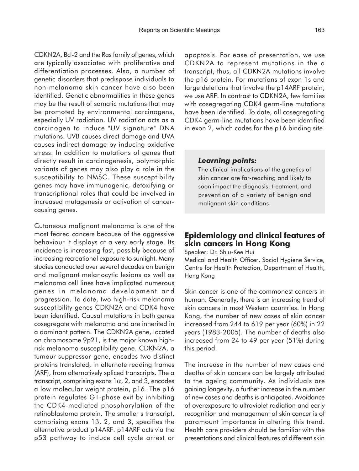CDKN2A, Bcl-2 and the Ras family of genes, which are typically associated with proliferative and differentiation processes. Also, a number of genetic disorders that predispose individuals to non-melanoma skin cancer have also been identified. Genetic abnormalities in these genes may be the result of somatic mutations that may be promoted by environmental carcinogens, especially UV radiation. UV radiation acts as a carcinogen to induce "UV signature" DNA mutations. UVB causes direct damage and UVA causes indirect damage by inducing oxidative stress. In addition to mutations of genes that directly result in carcinogenesis, polymorphic variants of genes may also play a role in the susceptibility to NMSC. These susceptibility genes may have immunogenic, detoxifying or transcriptional roles that could be involved in increased mutagenesis or activation of cancercausing genes.

Cutaneous malignant melanoma is one of the most feared cancers because of the aggressive behaviour it displays at a very early stage. Its incidence is increasing fast, possibly because of increasing recreational exposure to sunlight. Many studies conducted over several decades on benign and malignant melanocytic lesions as well as melanoma cell lines have implicated numerous genes in melanoma development and progression. To date, two high-risk melanoma susceptibility genes CDKN2A and CDK4 have been identified. Causal mutations in both genes cosegregate with melanoma and are inherited in a dominant pattern. The CDKN2A gene, located on chromosome 9p21, is the major known highrisk melanoma susceptibility gene. CDKN2A, a tumour suppressor gene, encodes two distinct proteins translated, in alternate reading frames (ARF), from alternatively spliced transcripts. The a transcript, comprising exons  $1\alpha$ , 2, and 3, encodes a low molecular weight protein, p16. The p16 protein regulates G1-phase exit by inhibiting the CDK4-mediated phosphorylation of the retinoblastoma protein. The smaller s transcript, comprising exons 1β, 2, and 3, specifies the alternative product p14ARF. p14ARF acts via the p53 pathway to induce cell cycle arrest or

apoptosis. For ease of presentation, we use CDKN2A to represent mutations in the a transcript; thus, all CDKN2A mutations involve the p16 protein. For mutations of exon 1s and large deletions that involve the p14ARF protein, we use ARF. In contrast to CDKN2A, few families with cosegregating CDK4 germ-line mutations have been identified. To date, all cosegregating CDK4 germ-line mutations have been identified in exon 2, which codes for the p16 binding site.

#### *Learning points:*

The clinical implications of the genetics of skin cancer are far-reaching and likely to soon impact the diagnosis, treatment, and prevention of a variety of benign and malignant skin conditions.

### **Epidemiology and clinical features of skin cancers in Hong Kong**

Speaker: Dr. Shiu-Kee Hui

Medical and Health Officer, Social Hygiene Service, Centre for Health Protection, Department of Health, Hong Kong

Skin cancer is one of the commonest cancers in human. Generally, there is an increasing trend of skin cancers in most Western countries. In Hong Kong, the number of new cases of skin cancer increased from 244 to 619 per year (60%) in 22 years (1983-2005). The number of deaths also increased from 24 to 49 per year (51%) during this period.

The increase in the number of new cases and deaths of skin cancers can be largely attributed to the ageing community. As individuals are gaining longevity, a further increase in the number of new cases and deaths is anticipated. Avoidance of overexposure to ultraviolet radiation and early recognition and management of skin cancer is of paramount importance in altering this trend. Health care providers should be familiar with the presentations and clinical features of different skin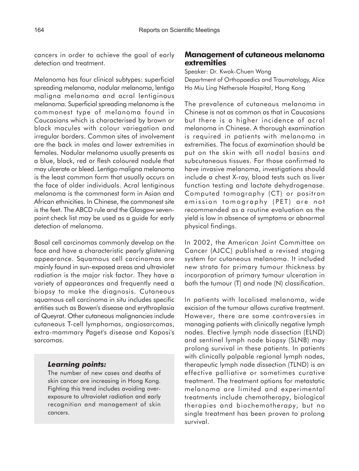cancers in order to achieve the goal of early detection and treatment.

Melanoma has four clinical subtypes: superficial spreading melanoma, nodular melanoma, lentigo maligna melanoma and acral lentiginous melanoma. Superficial spreading melanoma is the commonest type of melanoma found in Caucasians which is characterised by brown or black macules with colour variegation and irregular borders. Common sites of involvement are the back in males and lower extremities in females. Nodular melanoma usually presents as a blue, black, red or flesh coloured nodule that may ulcerate or bleed. Lentigo maligna melanoma is the least common form that usually occurs on the face of older individuals. Acral lentiginous melanoma is the commonest form in Asian and African ethnicities. In Chinese, the commonest site is the feet. The ABCD rule and the Glasgow sevenpoint check list may be used as a guide for early detection of melanoma.

Basal cell carcinomas commonly develop on the face and have a characteristic pearly glistening appearance. Squamous cell carcinomas are mainly found in sun-exposed areas and ultraviolet radiation is the major risk factor. They have a variety of appearances and frequently need a biopsy to make the diagnosis. Cutaneous squamous cell carcinoma in situ includes specific entities such as Bowen's disease and erythroplasia of Queyrat. Other cutaneous malignancies include cutaneous T-cell lymphomas, angiosarcomas, extra-mammary Paget's disease and Kaposi's sarcomas.

### *Learning points:*

The number of new cases and deaths of skin cancer are increasing in Hong Kong. Fighting this trend includes avoiding overexposure to ultraviolet radiation and early recognition and management of skin cancers.

## **Management of cutaneous melanoma extremities**

Speaker: Dr. Kwok-Chuen Wong Department of Orthopaedics and Traumatology, Alice Ho Miu Ling Nethersole Hospital, Hong Kong

The prevalence of cutaneous melanoma in Chinese is not as common as that in Caucasians but there is a higher incidence of acral melanoma in Chinese. A thorough examination is required in patients with melanoma in extremities. The focus of examination should be put on the skin with all nodal basins and subcutaneous tissues. For those confirmed to have invasive melanoma, investigations should include a chest X-ray, blood tests such as liver function testing and lactate dehydrogenase. Computed tomography (CT) or positron emission tomography (PET) are not recommended as a routine evaluation as the yield is low in absence of symptoms or abnormal physical findings.

In 2002, the American Joint Committee on Cancer (AJCC) published a revised staging system for cutaneous melanoma. It included new strata for primary tumour thickness by incorporation of primary tumour ulceration in both the tumour (T) and node (N) classification.

In patients with localised melanoma, wide excision of the tumour allows curative treatment. However, there are some controversies in managing patients with clinically negative lymph nodes. Elective lymph node dissection (ELND) and sentinel lymph node biopsy (SLNB) may prolong survival in these patients. In patients with clinically palpable regional lymph nodes, therapeutic lymph node dissection (TLND) is an effective palliative or sometimes curative treatment. The treatment options for metastatic melanoma are limited and experimental treatments include chemotherapy, biological therapies and biochemotherapy, but no single treatment has been proven to prolong survival.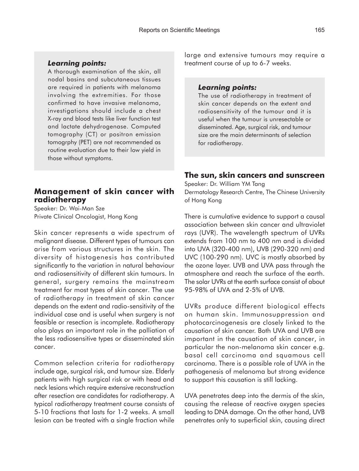#### *Learning points:*

A thorough examination of the skin, all nodal basins and subcutaneous tissues are required in patients with melanoma involving the extremities. For those confirmed to have invasive melanoma, investigations should include a chest X-ray and blood tests like liver function test and lactate dehydrogenase. Computed tomography (CT) or positron emission tomogrphy (PET) are not recommended as routine evaluation due to their low yield in those without symptoms.

### **Management of skin cancer with radiotherapy**

Speaker: Dr. Wai-Man Sze Private Clinical Oncologist, Hong Kong

Skin cancer represents a wide spectrum of malignant disease. Different types of tumours can arise from various structures in the skin. The diversity of histogenesis has contributed significantly to the variation in natural behaviour and radiosensitivity of different skin tumours. In general, surgery remains the mainstream treatment for most types of skin cancer. The use of radiotherapy in treatment of skin cancer depends on the extent and radio-sensitivity of the individual case and is useful when surgery is not feasible or resection is incomplete. Radiotherapy also plays an important role in the palliation of the less radiosensitive types or disseminated skin cancer.

Common selection criteria for radiotherapy include age, surgical risk, and tumour size. Elderly patients with high surgical risk or with head and neck lesions which require extensive reconstruction after resection are candidates for radiotherapy. A typical radiotherapy treatment course consists of 5-10 fractions that lasts for 1-2 weeks. A small lesion can be treated with a single fraction while

large and extensive tumours may require a treatment course of up to 6-7 weeks.

#### *Learning points:*

The use of radiotherapy in treatment of skin cancer depends on the extent and radiosensitivity of the tumour and it is useful when the tumour is unresectable or disseminated. Age, surgical risk, and tumour size are the main determinants of selection for radiotherapy.

### **The sun, skin cancers and sunscreen**

Speaker: Dr. William YM Tang Dermatology Research Centre, The Chinese University of Hong Kong

There is cumulative evidence to support a causal association between skin cancer and ultraviolet rays (UVR). The wavelength spectrum of UVRs extends from 100 nm to 400 nm and is divided into UVA (320-400 nm), UVB (290-320 nm) and UVC (100-290 nm). UVC is mostly absorbed by the ozone layer. UVB and UVA pass through the atmosphere and reach the surface of the earth. The solar UVRs at the earth surface consist of about 95-98% of UVA and 2-5% of UVB.

UVRs produce different biological effects on human skin. Immunosuppression and photocarcinogenesis are closely linked to the causation of skin cancer. Both UVA and UVB are important in the causation of skin cancer, in particular the non-melanoma skin cancer e.g. basal cell carcinoma and squamous cell carcinoma. There is a possible role of UVA in the pathogenesis of melanoma but strong evidence to support this causation is still lacking.

UVA penetrates deep into the dermis of the skin, causing the release of reactive oxygen species leading to DNA damage. On the other hand, UVB penetrates only to superficial skin, causing direct